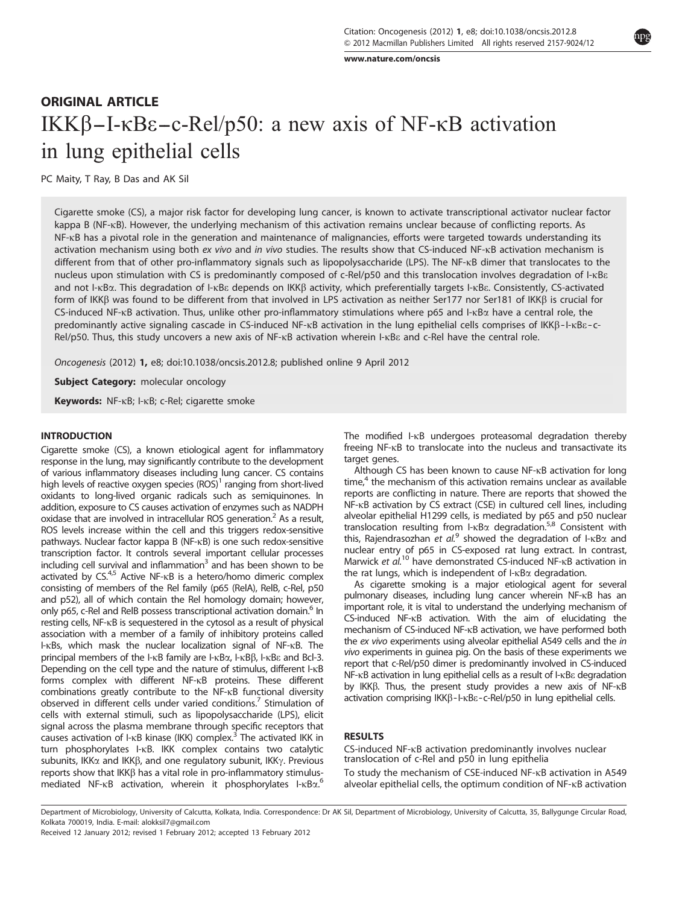www.nature.com/oncsis

# ORIGINAL ARTICLE IKK $\beta$ -I- $\kappa$ B $\epsilon$ -c-Rel/p50: a new axis of NF- $\kappa$ B activation in lung epithelial cells

PC Maity, T Ray, B Das and AK Sil

Cigarette smoke (CS), a major risk factor for developing lung cancer, is known to activate transcriptional activator nuclear factor kappa B (NF-kB). However, the underlying mechanism of this activation remains unclear because of conflicting reports. As NF-kB has a pivotal role in the generation and maintenance of malignancies, efforts were targeted towards understanding its activation mechanism using both ex vivo and in vivo studies. The results show that CS-induced NF-KB activation mechanism is different from that of other pro-inflammatory signals such as lipopolysaccharide (LPS). The NF-kB dimer that translocates to the nucleus upon stimulation with CS is predominantly composed of c-Rel/p50 and this translocation involves degradation of I-kBe and not I-kBa. This degradation of I-kB<sub>g</sub> depends on IKK<sub>B</sub> activity, which preferentially targets I-kBg. Consistently, CS-activated form of IKKß was found to be different from that involved in LPS activation as neither Ser177 nor Ser181 of IKKß is crucial for CS-induced NF-kB activation. Thus, unlike other pro-inflammatory stimulations where p65 and I-kBa have a central role, the predominantly active signaling cascade in CS-induced NF-kB activation in the lung epithelial cells comprises of IKK $\beta$ -I-kB $\varepsilon$ -c-Rel/p50. Thus, this study uncovers a new axis of NF-kB activation wherein I-kBe and c-Rel have the central role.

Oncogenesis (2012) 1, e8; doi:10.1038/oncsis.2012.8; published online 9 April 2012

Subject Category: molecular oncology

Keywords: NF-kB; I-kB; c-Rel; cigarette smoke

## INTRODUCTION

Cigarette smoke (CS), a known etiological agent for inflammatory response in the lung, may significantly contribute to the development of various inflammatory diseases including lung cancer. CS contains high levels of reactive oxygen species  $(ROS)^1$  ranging from short-lived oxidants to long-lived organic radicals such as semiquinones. In addition, exposure to CS causes activation of enzymes such as NADPH oxidase that are involved in intracellular ROS generation.<sup>2</sup> As a result, ROS levels increase within the cell and this triggers redox-sensitive pathways. Nuclear factor kappa B (NF-kB) is one such redox-sensitive transcription factor. It controls several important cellular processes including cell survival and inflammation<sup>3</sup> and has been shown to be activated by  $CS^{4,5}$  Active NF- $\kappa$ B is a hetero/homo dimeric complex consisting of members of the Rel family (p65 (RelA), RelB, c-Rel, p50 and p52), all of which contain the Rel homology domain; however, only p65, c-Rel and RelB possess transcriptional activation domain.<sup>6</sup> In resting cells, NF-kB is sequestered in the cytosol as a result of physical association with a member of a family of inhibitory proteins called I-kBs, which mask the nuclear localization signal of NF-kB. The principal members of the I-kB family are I-kBa, I-kBB, I-kBE and BcI-3. Depending on the cell type and the nature of stimulus, different I-kB forms complex with different NF-kB proteins. These different combinations greatly contribute to the NF-kB functional diversity observed in different cells under varied conditions.<sup>7</sup> Stimulation of cells with external stimuli, such as lipopolysaccharide (LPS), elicit signal across the plasma membrane through specific receptors that causes activation of I- $\kappa$ B kinase (IKK) complex.<sup>3</sup> The activated IKK in turn phosphorylates I-kB. IKK complex contains two catalytic subunits, IKK $\alpha$  and IKK $\beta$ , and one regulatory subunit, IKK $\gamma$ . Previous reports show that  $IKK\beta$  has a vital role in pro-inflammatory stimulusmediated NF-KB activation, wherein it phosphorylates l-KBa.<sup>6</sup>

The modified I-kB undergoes proteasomal degradation thereby freeing NF-kB to translocate into the nucleus and transactivate its target genes.

Although CS has been known to cause NF-kB activation for long time, $4$  the mechanism of this activation remains unclear as available reports are conflicting in nature. There are reports that showed the NF-kB activation by CS extract (CSE) in cultured cell lines, including alveolar epithelial H1299 cells, is mediated by p65 and p50 nuclear translocation resulting from  $I - \kappa B\alpha$  degradation.<sup>5,8</sup> Consistent with this, Rajendrasozhan et  $al^9$  showed the degradation of I- $\kappa$ B $\alpha$  and nuclear entry of p65 in CS-exposed rat lung extract. In contrast,<br>Marwick et al.<sup>10</sup> have demonstrated CS-induced NF-<sub>K</sub>B activation in the rat lungs, which is independent of  $I-KB\alpha$  degradation.

As cigarette smoking is a major etiological agent for several pulmonary diseases, including lung cancer wherein NF-kB has an important role, it is vital to understand the underlying mechanism of CS-induced NF-kB activation. With the aim of elucidating the mechanism of CS-induced NF-kB activation, we have performed both the ex vivo experiments using alveolar epithelial A549 cells and the in vivo experiments in guinea pig. On the basis of these experiments we report that c-Rel/p50 dimer is predominantly involved in CS-induced NF-kB activation in lung epithelial cells as a result of I-kBe degradation by IKK $\beta$ . Thus, the present study provides a new axis of NF- $\kappa$ B activation comprising  $IKK\beta$ -I- $KB\epsilon$ -c-Rel/p50 in lung epithelial cells.

# RESULTS

CS-induced NF-kB activation predominantly involves nuclear translocation of c-Rel and p50 in lung epithelia

To study the mechanism of CSE-induced NF-kB activation in A549 alveolar epithelial cells, the optimum condition of NF-kB activation

Department of Microbiology, University of Calcutta, Kolkata, India. Correspondence: Dr AK Sil, Department of Microbiology, University of Calcutta, 35, Ballygunge Circular Road, Kolkata 700019, India. E-mail: alokksil7@gmail.com

Received 12 January 2012; revised 1 February 2012; accepted 13 February 2012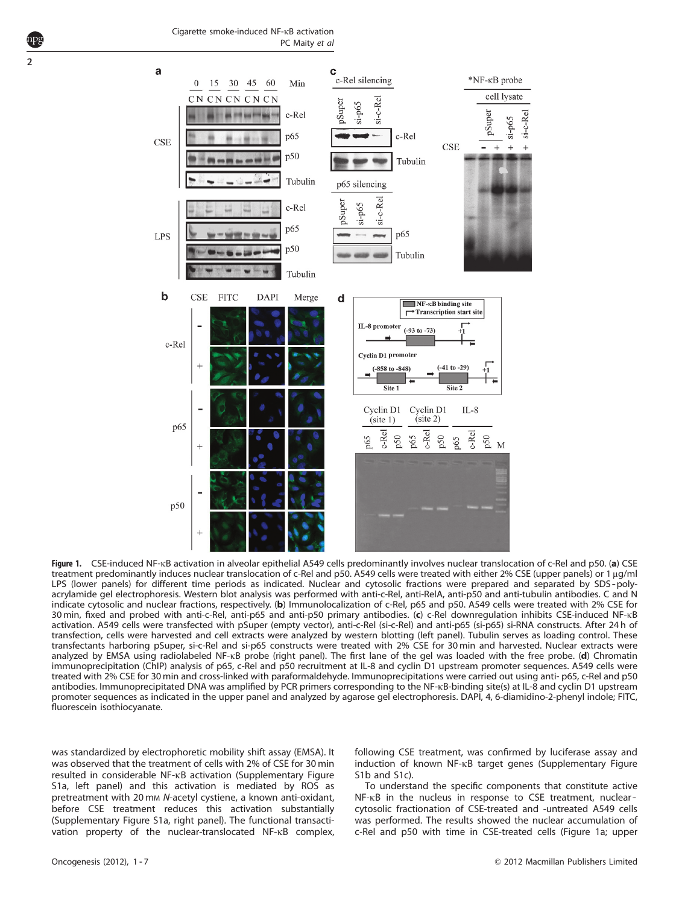2



Figure 1. CSE-induced NF-kB activation in alveolar epithelial A549 cells predominantly involves nuclear translocation of c-Rel and p50. (a) CSE treatment predominantly induces nuclear translocation of c-Rel and p50. A549 cells were treated with either 2% CSE (upper panels) or 1 µg/ml LPS (lower panels) for different time periods as indicated. Nuclear and cytosolic fractions were prepared and separated by SDS - polyacrylamide gel electrophoresis. Western blot analysis was performed with anti-c-Rel, anti-RelA, anti-p50 and anti-tubulin antibodies. C and N indicate cytosolic and nuclear fractions, respectively. (b) Immunolocalization of c-Rel, p65 and p50. A549 cells were treated with 2% CSE for 30 min, fixed and probed with anti-c-Rel, anti-p65 and anti-p50 primary antibodies. (c) c-Rel downregulation inhibits CSE-induced NF-kB activation. A549 cells were transfected with pSuper (empty vector), anti-c-Rel (si-c-Rel) and anti-p65 (si-p65) si-RNA constructs. After 24 h of transfection, cells were harvested and cell extracts were analyzed by western blotting (left panel). Tubulin serves as loading control. These transfectants harboring pSuper, si-c-Rel and si-p65 constructs were treated with 2% CSE for 30 min and harvested. Nuclear extracts were analyzed by EMSA using radiolabeled NF-kB probe (right panel). The first lane of the gel was loaded with the free probe. (d) Chromatin immunoprecipitation (ChIP) analysis of p65, c-Rel and p50 recruitment at IL-8 and cyclin D1 upstream promoter sequences. A549 cells were treated with 2% CSE for 30 min and cross-linked with paraformaldehyde. Immunoprecipitations were carried out using anti- p65, c-Rel and p50 antibodies. Immunoprecipitated DNA was amplified by PCR primers corresponding to the NF-KB-binding site(s) at IL-8 and cyclin D1 upstream promoter sequences as indicated in the upper panel and analyzed by agarose gel electrophoresis. DAPI, 4, 6-diamidino-2-phenyl indole; FITC, fluorescein isothiocyanate.

was standardized by electrophoretic mobility shift assay (EMSA). It was observed that the treatment of cells with 2% of CSE for 30 min resulted in considerable NF-kB activation (Supplementary Figure S1a, left panel) and this activation is mediated by ROS as pretreatment with 20 mm N-acetyl cystiene, a known anti-oxidant, before CSE treatment reduces this activation substantially (Supplementary Figure S1a, right panel). The functional transactivation property of the nuclear-translocated NF-kB complex, following CSE treatment, was confirmed by luciferase assay and induction of known NF-kB target genes (Supplementary Figure S1b and S1c).

To understand the specific components that constitute active NF-KB in the nucleus in response to CSE treatment, nuclearcytosolic fractionation of CSE-treated and -untreated A549 cells was performed. The results showed the nuclear accumulation of c-Rel and p50 with time in CSE-treated cells (Figure 1a; upper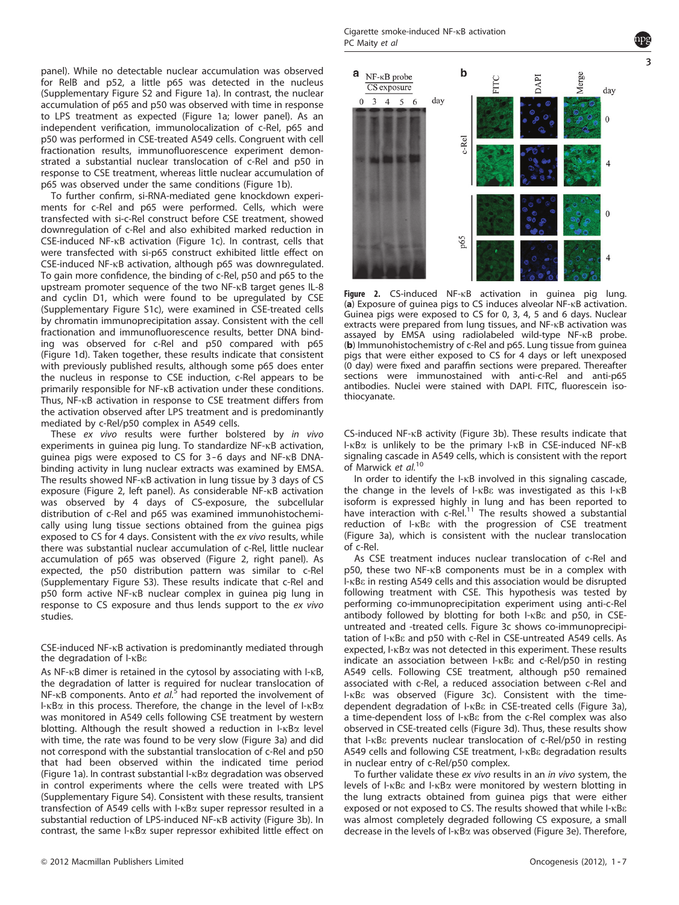panel). While no detectable nuclear accumulation was observed for RelB and p52, a little p65 was detected in the nucleus (Supplementary Figure S2 and Figure 1a). In contrast, the nuclear accumulation of p65 and p50 was observed with time in response to LPS treatment as expected (Figure 1a; lower panel). As an independent verification, immunolocalization of c-Rel, p65 and p50 was performed in CSE-treated A549 cells. Congruent with cell fractionation results, immunofluorescence experiment demonstrated a substantial nuclear translocation of c-Rel and p50 in response to CSE treatment, whereas little nuclear accumulation of p65 was observed under the same conditions (Figure 1b).

To further confirm, si-RNA-mediated gene knockdown experiments for c-Rel and p65 were performed. Cells, which were transfected with si-c-Rel construct before CSE treatment, showed downregulation of c-Rel and also exhibited marked reduction in CSE-induced NF-kB activation (Figure 1c). In contrast, cells that were transfected with si-p65 construct exhibited little effect on CSE-induced NF-kB activation, although p65 was downregulated. To gain more confidence, the binding of c-Rel, p50 and p65 to the upstream promoter sequence of the two NF-kB target genes IL-8 and cyclin D1, which were found to be upregulated by CSE (Supplementary Figure S1c), were examined in CSE-treated cells by chromatin immunoprecipitation assay. Consistent with the cell fractionation and immunofluorescence results, better DNA binding was observed for c-Rel and p50 compared with p65 (Figure 1d). Taken together, these results indicate that consistent with previously published results, although some p65 does enter the nucleus in response to CSE induction, c-Rel appears to be primarily responsible for NF-kB activation under these conditions. Thus, NF-kB activation in response to CSE treatment differs from the activation observed after LPS treatment and is predominantly mediated by c-Rel/p50 complex in A549 cells.

These ex vivo results were further bolstered by in vivo experiments in guinea pig lung. To standardize NF-kB activation, guinea pigs were exposed to CS for 3-6 days and NF-KB DNAbinding activity in lung nuclear extracts was examined by EMSA. The results showed NF-kB activation in lung tissue by 3 days of CS exposure (Figure 2, left panel). As considerable NF-kB activation was observed by 4 days of CS-exposure, the subcellular distribution of c-Rel and p65 was examined immunohistochemically using lung tissue sections obtained from the guinea pigs exposed to CS for 4 days. Consistent with the ex vivo results, while there was substantial nuclear accumulation of c-Rel, little nuclear accumulation of p65 was observed (Figure 2, right panel). As expected, the p50 distribution pattern was similar to c-Rel (Supplementary Figure S3). These results indicate that c-Rel and p50 form active NF-kB nuclear complex in guinea pig lung in response to CS exposure and thus lends support to the ex vivo studies.

CSE-induced NF-kB activation is predominantly mediated through the degradation of I-kBe

As NF-KB dimer is retained in the cytosol by associating with I-KB, the degradation of latter is required for nuclear translocation of NF- $\kappa$ B components. Anto et al.<sup>5</sup> had reported the involvement of I- $\kappa$ B $\alpha$  in this process. Therefore, the change in the level of I- $\kappa$ B $\alpha$ was monitored in A549 cells following CSE treatment by western blotting. Although the result showed a reduction in  $I-KB\alpha$  level with time, the rate was found to be very slow (Figure 3a) and did not correspond with the substantial translocation of c-Rel and p50 that had been observed within the indicated time period (Figure 1a). In contrast substantial  $I - \kappa B\alpha$  degradation was observed in control experiments where the cells were treated with LPS (Supplementary Figure S4). Consistent with these results, transient transfection of A549 cells with  $I - \kappa B\alpha$  super repressor resulted in a substantial reduction of LPS-induced NF-kB activity (Figure 3b). In contrast, the same I- $\kappa$ B $\alpha$  super repressor exhibited little effect on



Figure 2. CS-induced NF-KB activation in guinea pig lung. (a) Exposure of guinea pigs to CS induces alveolar NF-kB activation. Guinea pigs were exposed to CS for 0, 3, 4, 5 and 6 days. Nuclear extracts were prepared from lung tissues, and NF-kB activation was assayed by EMSA using radiolabeled wild-type NF-kB probe. (b) Immunohistochemistry of c-Rel and p65. Lung tissue from guinea pigs that were either exposed to CS for 4 days or left unexposed (0 day) were fixed and paraffin sections were prepared. Thereafter sections were immunostained with anti-c-Rel and anti-p65 antibodies. Nuclei were stained with DAPI. FITC, fluorescein isothiocyanate.

CS-induced NF-kB activity (Figure 3b). These results indicate that  $I - \kappa B\alpha$  is unlikely to be the primary  $I - \kappa B$  in CSE-induced NF- $\kappa B$ signaling cascade in A549 cells, which is consistent with the report of Marwick et al.<sup>10</sup>

In order to identify the I-KB involved in this signaling cascade, the change in the levels of I-kBe was investigated as this I-kB isoform is expressed highly in lung and has been reported to<br>have interaction with c-Rel.<sup>11</sup> The results showed a substantial reduction of I-kBe with the progression of CSE treatment (Figure 3a), which is consistent with the nuclear translocation of c-Rel.

As CSE treatment induces nuclear translocation of c-Rel and p50, these two NF-kB components must be in a complex with I-kBe in resting A549 cells and this association would be disrupted following treatment with CSE. This hypothesis was tested by performing co-immunoprecipitation experiment using anti-c-Rel antibody followed by blotting for both I-kBe and p50, in CSEuntreated and -treated cells. Figure 3c shows co-immunoprecipitation of I-kBe and p50 with c-Rel in CSE-untreated A549 cells. As expected, I-KBa was not detected in this experiment. These results indicate an association between I-kBe and c-Rel/p50 in resting A549 cells. Following CSE treatment, although p50 remained associated with c-Rel, a reduced association between c-Rel and I-kBe was observed (Figure 3c). Consistent with the timedependent degradation of I-kBe in CSE-treated cells (Figure 3a), a time-dependent loss of I-KBE from the c-Rel complex was also observed in CSE-treated cells (Figure 3d). Thus, these results show that I-kBe prevents nuclear translocation of c-Rel/p50 in resting A549 cells and following CSE treatment, I-KBE degradation results in nuclear entry of c-Rel/p50 complex.

To further validate these ex vivo results in an in vivo system, the levels of I-kBe and I-kBa were monitored by western blotting in the lung extracts obtained from guinea pigs that were either exposed or not exposed to CS. The results showed that while I-KBE was almost completely degraded following CS exposure, a small decrease in the levels of I-kBa was observed (Figure 3e). Therefore,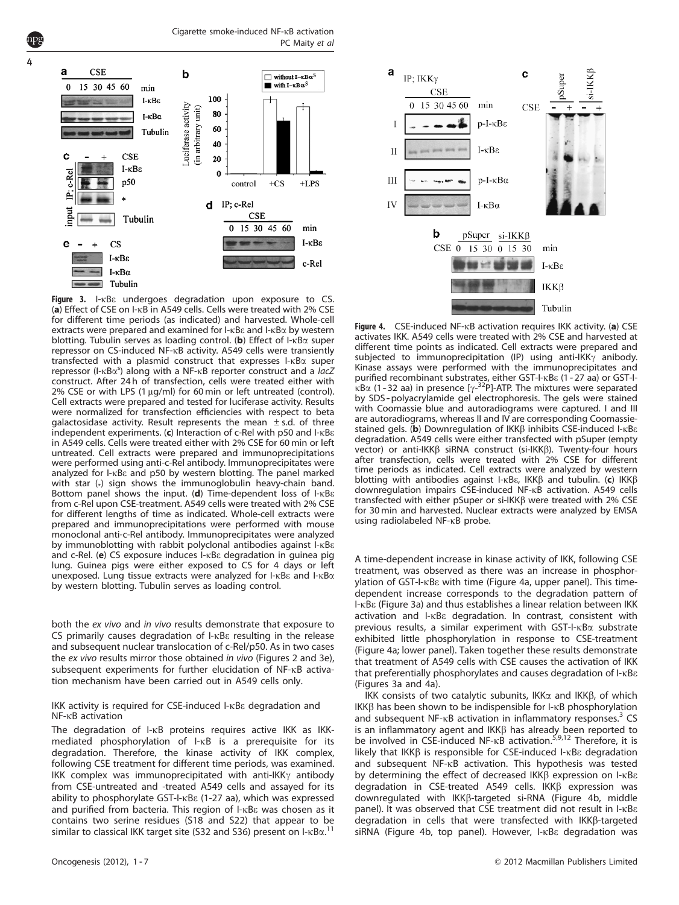4





Figure 3. I-kBe undergoes degradation upon exposure to CS. (a) Effect of CSE on I-KB in A549 cells. Cells were treated with 2% CSE for different time periods (as indicated) and harvested. Whole-cell extracts were prepared and examined for  $I - \kappa B \varepsilon$  and  $I - \kappa B \alpha$  by western blotting. Tubulin serves as loading control. (b) Effect of I- $\kappa$ B $\alpha$  super repressor on CS-induced NF-kB activity. A549 cells were transiently transfected with a plasmid construct that expresses I-KBa super repressor (I- $\kappa$ B $\alpha$ <sup>s</sup>) along with a NF- $\kappa$ B reporter construct and a *lac2* construct. After 24 h of transfection, cells were treated either with 2% CSE or with LPS (1  $\mu$ g/ml) for 60 min or left untreated (control). Cell extracts were prepared and tested for luciferase activity. Results were normalized for transfection efficiencies with respect to beta galactosidase activity. Result represents the mean  $\pm$  s.d. of three independent experiments. (c) Interaction of c-Rel with  $p50$  and I- $\kappa$ B $\varepsilon$ in A549 cells. Cells were treated either with 2% CSE for 60 min or left untreated. Cell extracts were prepared and immunoprecipitations were performed using anti-c-Rel antibody. Immunoprecipitates were analyzed for I-kBe and p50 by western blotting. The panel marked with star (\*) sign shows the immunoglobulin heavy-chain band. Bottom panel shows the input. (d) Time-dependent loss of I- $\kappa$ B $\epsilon$ from c-Rel upon CSE-treatment. A549 cells were treated with 2% CSE for different lengths of time as indicated. Whole-cell extracts were prepared and immunoprecipitations were performed with mouse monoclonal anti-c-Rel antibody. Immunoprecipitates were analyzed by immunoblotting with rabbit polyclonal antibodies against I-kBe and c-Rel. (e) CS exposure induces  $I - KBE$  degradation in quinea pig lung. Guinea pigs were either exposed to CS for 4 days or left unexposed. Lung tissue extracts were analyzed for I-KBE and I-KBa by western blotting. Tubulin serves as loading control.

both the ex vivo and in vivo results demonstrate that exposure to CS primarily causes degradation of I-kBe resulting in the release and subsequent nuclear translocation of c-Rel/p50. As in two cases the ex vivo results mirror those obtained in vivo (Figures 2 and 3e), subsequent experiments for further elucidation of NF-kB activation mechanism have been carried out in A549 cells only.

## IKK activity is required for CSE-induced I-kBe degradation and NF-kB activation

The degradation of I-KB proteins requires active IKK as IKKmediated phosphorylation of I-kB is a prerequisite for its degradation. Therefore, the kinase activity of IKK complex, following CSE treatment for different time periods, was examined. IKK complex was immunoprecipitated with anti-IKK $\gamma$  antibody from CSE-untreated and -treated A549 cells and assayed for its ability to phosphorylate GST-I-kBe (1-27 aa), which was expressed and purified from bacteria. This region of I-KBE was chosen as it contains two serine residues (S18 and S22) that appear to be similar to classical IKK target site (S32 and S36) present on I-KBa.<sup>11</sup>



Figure 4. CSE-induced NF-kB activation requires IKK activity. (a) CSE activates IKK. A549 cells were treated with 2% CSE and harvested at different time points as indicated. Cell extracts were prepared and subjected to immunoprecipitation (IP) using anti-IKK $\gamma$  anibody. Kinase assays were performed with the immunoprecipitates and purified recombinant substrates, either GST-I-kBe (1 - 27 aa) or GST-I- $\kappa$ B $\alpha$  (1-32 aa) in presence [ $\gamma$ -<sup>32</sup>P]-ATP. The mixtures were separated by SDS - polyacrylamide gel electrophoresis. The gels were stained with Coomassie blue and autoradiograms were captured. I and III are autoradiograms, whereas II and IV are corresponding Coomassiestained gels. (b) Downregulation of IKK $\beta$  inhibits CSE-induced I- $\kappa$ B $\epsilon$ degradation. A549 cells were either transfected with pSuper (empty vector) or anti-IKK $\beta$  siRNA construct (si-IKK $\beta$ ). Twenty-four hours after transfection, cells were treated with 2% CSE for different time periods as indicated. Cell extracts were analyzed by western blotting with antibodies against I- $kBE$ , IKKB and tubulin. (c) IKKB downregulation impairs CSE-induced NF-kB activation. A549 cells transfected with either pSuper or si-IKK $\beta$  were treated with 2% CSE for 30 min and harvested. Nuclear extracts were analyzed by EMSA using radiolabeled NF-kB probe.

A time-dependent increase in kinase activity of IKK, following CSE treatment, was observed as there was an increase in phosphorylation of GST-I-kBe with time (Figure 4a, upper panel). This timedependent increase corresponds to the degradation pattern of I-kBe (Figure 3a) and thus establishes a linear relation between IKK activation and I-kBe degradation. In contrast, consistent with previous results, a similar experiment with  $GST-I-KB\alpha$  substrate exhibited little phosphorylation in response to CSE-treatment (Figure 4a; lower panel). Taken together these results demonstrate that treatment of A549 cells with CSE causes the activation of IKK that preferentially phosphorylates and causes degradation of I-kBe (Figures 3a and 4a).

IKK consists of two catalytic subunits,  $IKK\alpha$  and  $IKK\beta$ , of which IKK $\beta$  has been shown to be indispensible for I- $\kappa$ B phosphorylation and subsequent NF- $\kappa$ B activation in inflammatory responses.<sup>3</sup> CS is an inflammatory agent and IKKβ has already been reported to<br>be involved in CSE-induced NF-κB activation.<sup>5,9,12</sup> Therefore, it is likely that IKK $\beta$  is responsible for CSE-induced I- $\kappa$ B $\epsilon$  degradation and subsequent NF-KB activation. This hypothesis was tested by determining the effect of decreased  $IKK\beta$  expression on  $I-KB\epsilon$ degradation in CSE-treated A549 cells. IKK $\beta$  expression was downregulated with  $IKK\beta$ -targeted si-RNA (Figure 4b, middle panel). It was observed that CSE treatment did not result in I-kBe degradation in cells that were transfected with IKKß-targeted siRNA (Figure 4b, top panel). However, I-kBe degradation was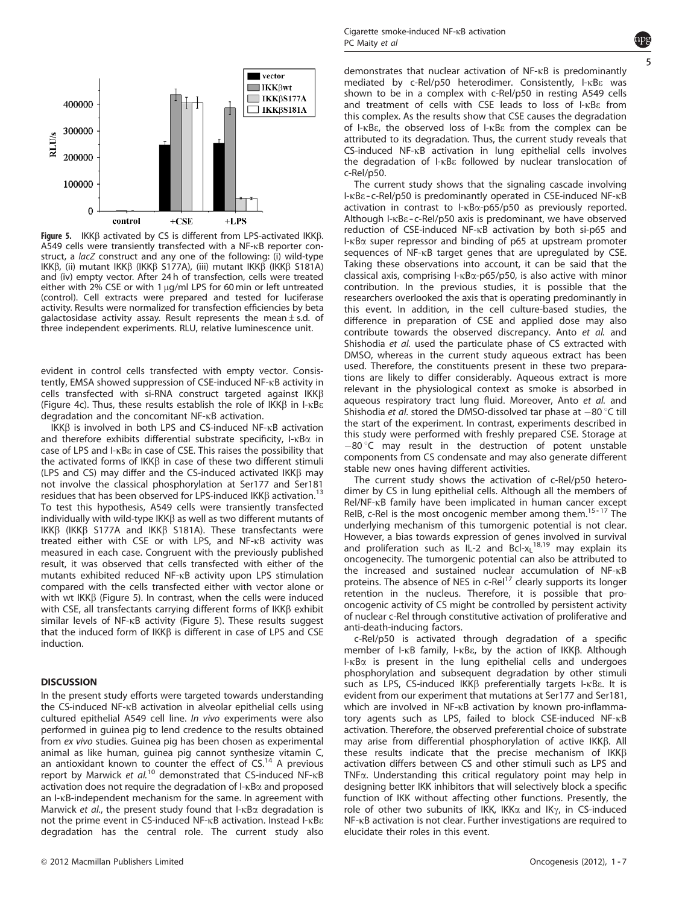

Figure 5. IKK $\beta$  activated by CS is different from LPS-activated IKK $\beta$ . A549 cells were transiently transfected with a NF-kB reporter construct, a *lacZ* construct and any one of the following: (i) wild-type IKKβ, (ii) mutant IKKβ (IKKβ S177A), (iii) mutant IKKβ (IKKβ S181A) and (iv) empty vector. After 24 h of transfection, cells were treated either with  $2\%$  CSE or with 1  $\mu$ g/ml LPS for 60 min or left untreated (control). Cell extracts were prepared and tested for luciferase activity. Results were normalized for transfection efficiencies by beta galactosidase activity assay. Result represents the mean  $\pm$  s.d. of three independent experiments. RLU, relative luminescence unit.

evident in control cells transfected with empty vector. Consistently, EMSA showed suppression of CSE-induced NF-kB activity in cells transfected with si-RNA construct targeted against  $IKK\beta$ (Figure 4c). Thus, these results establish the role of  $IKK\beta$  in  $I-KB\epsilon$ degradation and the concomitant NF-kB activation.

 $IKK\beta$  is involved in both LPS and CS-induced NF- $K\beta$  activation and therefore exhibits differential substrate specificity,  $I - \kappa B\alpha$  in case of LPS and I-kBe in case of CSE. This raises the possibility that the activated forms of  $IKK\beta$  in case of these two different stimuli (LPS and CS) may differ and the CS-induced activated  $IKK\beta$  may not involve the classical phosphorylation at Ser177 and Ser181 residues that has been observed for LPS-induced IKK $\beta$  activation.<sup>13</sup> To test this hypothesis, A549 cells were transiently transfected individually with wild-type IKK $\beta$  as well as two different mutants of IKK $\beta$  (IKK $\beta$  S177A and IKK $\beta$  S181A). These transfectants were treated either with CSE or with LPS, and NF-kB activity was measured in each case. Congruent with the previously published result, it was observed that cells transfected with either of the mutants exhibited reduced NF-kB activity upon LPS stimulation compared with the cells transfected either with vector alone or with wt IKK $\beta$  (Figure 5). In contrast, when the cells were induced with CSE, all transfectants carrying different forms of  $IKK\beta$  exhibit similar levels of NF-KB activity (Figure 5). These results suggest that the induced form of  $IKK\beta$  is different in case of LPS and CSE induction.

## **DISCUSSION**

In the present study efforts were targeted towards understanding the CS-induced NF-kB activation in alveolar epithelial cells using cultured epithelial A549 cell line. In vivo experiments were also performed in guinea pig to lend credence to the results obtained from ex vivo studies. Guinea pig has been chosen as experimental animal as like human, guinea pig cannot synthesize vitamin C, an antioxidant known to counter the effect of  $CS.<sup>14</sup>$  A previous report by Marwick et  $al$ <sup>10</sup> demonstrated that CS-induced NF- $\kappa$ B activation does not require the degradation of  $I - \kappa B\alpha$  and proposed an I-kB-independent mechanism for the same. In agreement with Marwick et al., the present study found that I- $\kappa$ B $\alpha$  degradation is not the prime event in CS-induced NF-kB activation. Instead I-kBe degradation has the central role. The current study also



demonstrates that nuclear activation of NF-kB is predominantly mediated by c-Rel/p50 heterodimer. Consistently, I-kBe was shown to be in a complex with c-Rel/p50 in resting A549 cells and treatment of cells with CSE leads to loss of I-kBe from this complex. As the results show that CSE causes the degradation of I-kBe, the observed loss of I-kBe from the complex can be attributed to its degradation. Thus, the current study reveals that CS-induced NF-kB activation in lung epithelial cells involves the degradation of I-kBe followed by nuclear translocation of c-Rel/p50.

The current study shows that the signaling cascade involving I-kBe--c-Rel/p50 is predominantly operated in CSE-induced NF-kB activation in contrast to I-KBa-p65/p50 as previously reported. Although I- $\kappa$ B $\epsilon$ -c-Rel/p50 axis is predominant, we have observed reduction of CSE-induced NF-kB activation by both si-p65 and I-kBa super repressor and binding of p65 at upstream promoter sequences of NF-kB target genes that are upregulated by CSE. Taking these observations into account, it can be said that the classical axis, comprising  $I - \kappa B\alpha$ -p65/p50, is also active with minor contribution. In the previous studies, it is possible that the researchers overlooked the axis that is operating predominantly in this event. In addition, in the cell culture-based studies, the difference in preparation of CSE and applied dose may also contribute towards the observed discrepancy. Anto et al. and Shishodia et al. used the particulate phase of CS extracted with DMSO, whereas in the current study aqueous extract has been used. Therefore, the constituents present in these two preparations are likely to differ considerably. Aqueous extract is more relevant in the physiological context as smoke is absorbed in aqueous respiratory tract lung fluid. Moreover, Anto et al. and Shishodia et al. stored the DMSO-dissolved tar phase at  $-80$  °C till the start of the experiment. In contrast, experiments described in this study were performed with freshly prepared CSE. Storage at  $-80$  °C may result in the destruction of potent unstable components from CS condensate and may also generate different stable new ones having different activities.

The current study shows the activation of c-Rel/p50 heterodimer by CS in lung epithelial cells. Although all the members of Rel/NF-<sub>K</sub>B family have been implicated in human cancer except RelB, c-Rel is the most oncogenic member among them.<sup>15-17</sup> The underlying mechanism of this tumorgenic potential is not clear. However, a bias towards expression of genes involved in survival and proliferation such as  $IL-2$  and Bcl- $x_L^{18,19}$  may explain its oncogenecity. The tumorgenic potential can also be attributed to the increased and sustained nuclear accumulation of NF-kB proteins. The absence of NES in  $c$ -Rel<sup>17</sup> clearly supports its longer retention in the nucleus. Therefore, it is possible that prooncogenic activity of CS might be controlled by persistent activity of nuclear c-Rel through constitutive activation of proliferative and anti-death-inducing factors.

c-Rel/p50 is activated through degradation of a specific member of I-KB family, I-KBE, by the action of IKKB. Although  $I - \kappa B\alpha$  is present in the lung epithelial cells and undergoes phosphorylation and subsequent degradation by other stimuli such as LPS, CS-induced  $IKK\beta$  preferentially targets I- $KBE$ . It is evident from our experiment that mutations at Ser177 and Ser181, which are involved in NF-KB activation by known pro-inflammatory agents such as LPS, failed to block CSE-induced NF-kB activation. Therefore, the observed preferential choice of substrate may arise from differential phosphorylation of active  $IKK\beta$ . All these results indicate that the precise mechanism of  $IKK\beta$ activation differs between CS and other stimuli such as LPS and TNFa. Understanding this critical regulatory point may help in designing better IKK inhibitors that will selectively block a specific function of IKK without affecting other functions. Presently, the role of other two subunits of IKK, IKK $\alpha$  and IK $\gamma$ , in CS-induced NF-kB activation is not clear. Further investigations are required to elucidate their roles in this event.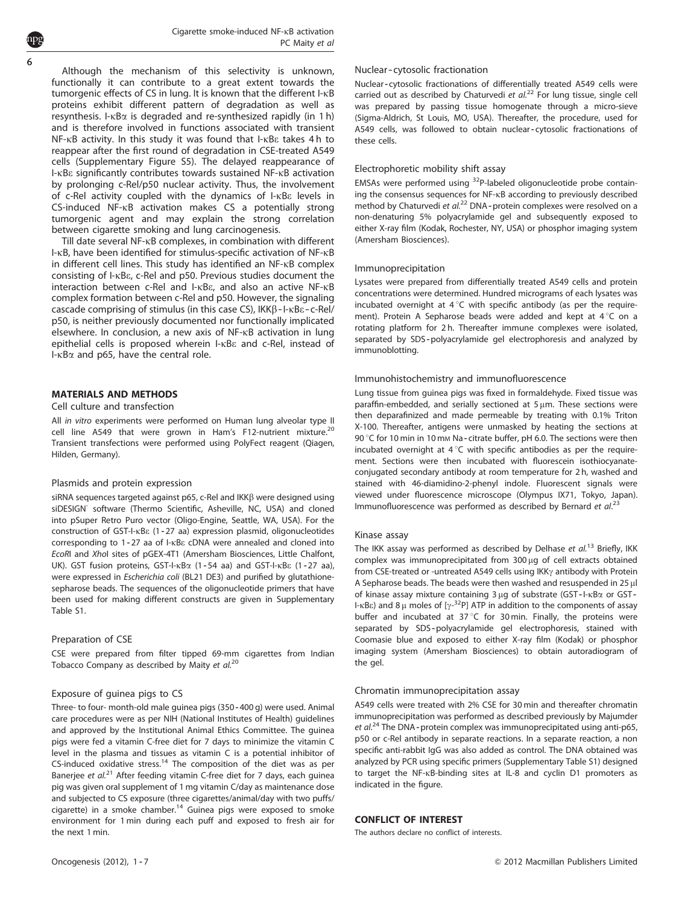Although the mechanism of this selectivity is unknown, functionally it can contribute to a great extent towards the tumorgenic effects of CS in lung. It is known that the different I-kB proteins exhibit different pattern of degradation as well as resynthesis. I- $\kappa$ B $\alpha$  is degraded and re-synthesized rapidly (in 1 h) and is therefore involved in functions associated with transient NF-KB activity. In this study it was found that I-KBE takes 4h to reappear after the first round of degradation in CSE-treated A549 cells (Supplementary Figure S5). The delayed reappearance of I-kBe significantly contributes towards sustained NF-kB activation by prolonging c-Rel/p50 nuclear activity. Thus, the involvement of c-Rel activity coupled with the dynamics of I-kBe levels in CS-induced NF-kB activation makes CS a potentially strong tumorgenic agent and may explain the strong correlation between cigarette smoking and lung carcinogenesis.

Till date several NF-kB complexes, in combination with different I-kB, have been identified for stimulus-specific activation of NF-kB in different cell lines. This study has identified an NF-kB complex consisting of I-kBe, c-Rel and p50. Previous studies document the interaction between c-Rel and I-kBe, and also an active NF-kB complex formation between c-Rel and p50. However, the signaling cascade comprising of stimulus (in this case CS),  $IKK\beta$ -I- $KB\varepsilon$ -c-Rel/ p50, is neither previously documented nor functionally implicated elsewhere. In conclusion, a new axis of NF-kB activation in lung epithelial cells is proposed wherein I-kBe and c-Rel, instead of  $I$ - $\kappa$ B $\alpha$  and p65, have the central role.

## MATERIALS AND METHODS

#### Cell culture and transfection

All in vitro experiments were performed on Human lung alveolar type II cell line A549 that were grown in Ham's F12-nutrient mixture.<sup>20</sup> Transient transfections were performed using PolyFect reagent (Qiagen, Hilden, Germany).

#### Plasmids and protein expression

siRNA sequences targeted against p65, c-Rel and  $IKK\beta$  were designed using siDESIGN<sup>-</sup> software (Thermo Scientific, Asheville, NC, USA) and cloned into pSuper Retro Puro vector (Oligo-Engine, Seattle, WA, USA). For the construction of GST-I-kBe (1 - 27 aa) expression plasmid, oligonucleotides corresponding to 1 - 27 aa of I-kBe cDNA were annealed and cloned into EcoRI and XhoI sites of pGEX-4T1 (Amersham Biosciences, Little Chalfont, UK). GST fusion proteins, GST-I-KB $\alpha$  (1-54 aa) and GST-I-KBE (1-27 aa), were expressed in Escherichia coli (BL21 DE3) and purified by glutathionesepharose beads. The sequences of the oligonucleotide primers that have been used for making different constructs are given in Supplementary Table S1.

### Preparation of CSE

CSE were prepared from filter tipped 69-mm cigarettes from Indian Tobacco Company as described by Maity et al.<sup>20</sup>

## Exposure of guinea pigs to CS

Three- to four- month-old male guinea pigs (350 - 400 g) were used. Animal care procedures were as per NIH (National Institutes of Health) guidelines and approved by the Institutional Animal Ethics Committee. The guinea pigs were fed a vitamin C-free diet for 7 days to minimize the vitamin C level in the plasma and tissues as vitamin C is a potential inhibitor of CS-induced oxidative stress.<sup>14</sup> The composition of the diet was as per Banerjee et  $al^{21}$  After feeding vitamin C-free diet for 7 days, each guinea pig was given oral supplement of 1 mg vitamin C/day as maintenance dose and subjected to CS exposure (three cigarettes/animal/day with two puffs/ cigarette) in a smoke chamber.<sup>14</sup> Guinea pigs were exposed to smoke environment for 1 min during each puff and exposed to fresh air for the next 1 min.

## Nuclear-cytosolic fractionation

Nuclear - cytosolic fractionations of differentially treated A549 cells were carried out as described by Chaturvedi et  $al^{22}$  For lung tissue, single cell was prepared by passing tissue homogenate through a micro-sieve (Sigma-Aldrich, St Louis, MO, USA). Thereafter, the procedure, used for A549 cells, was followed to obtain nuclear - cytosolic fractionations of these cells.

## Electrophoretic mobility shift assay

EMSAs were performed using  $32P$ -labeled oligonucleotide probe containing the consensus sequences for NF-kB according to previously described method by Chaturvedi et al.<sup>22</sup> DNA - protein complexes were resolved on a non-denaturing 5% polyacrylamide gel and subsequently exposed to either X-ray film (Kodak, Rochester, NY, USA) or phosphor imaging system (Amersham Biosciences).

### Immunoprecipitation

Lysates were prepared from differentially treated A549 cells and protein concentrations were determined. Hundred micrograms of each lysates was incubated overnight at  $4^{\circ}$ C with specific antibody (as per the requirement). Protein A Sepharose beads were added and kept at  $4^{\circ}$ C on a rotating platform for 2 h. Thereafter immune complexes were isolated, separated by SDS - polyacrylamide gel electrophoresis and analyzed by immunoblotting.

#### Immunohistochemistry and immunofluorescence

Lung tissue from guinea pigs was fixed in formaldehyde. Fixed tissue was paraffin-embedded, and serially sectioned at  $5 \mu m$ . These sections were then deparafinized and made permeable by treating with 0.1% Triton X-100. Thereafter, antigens were unmasked by heating the sections at 90 °C for 10 min in 10 mm Na-citrate buffer, pH 6.0. The sections were then incubated overnight at  $4^{\circ}$ C with specific antibodies as per the requirement. Sections were then incubated with fluorescein isothiocyanateconjugated secondary antibody at room temperature for 2 h, washed and stained with 46-diamidino-2-phenyl indole. Fluorescent signals were viewed under fluorescence microscope (Olympus IX71, Tokyo, Japan). Immunofluorescence was performed as described by Bernard et al.<sup>23</sup>

#### Kinase assay

The IKK assay was performed as described by Delhase et al.<sup>13</sup> Briefly, IKK complex was immunoprecipitated from 300 µg of cell extracts obtained from CSE-treated or -untreated A549 cells using IKKy antibody with Protein A Sepharose beads. The beads were then washed and resuspended in 25 µl of kinase assay mixture containing  $3 \mu$ g of substrate (GST-I- $\kappa$ B $\alpha$  or GST-I-KBE) and 8  $\mu$  moles of [ $\gamma$ -<sup>32</sup>P] ATP in addition to the components of assay buffer and incubated at 37 °C for 30 min. Finally, the proteins were separated by SDS - polyacrylamide gel electrophoresis, stained with Coomasie blue and exposed to either X-ray film (Kodak) or phosphor imaging system (Amersham Biosciences) to obtain autoradiogram of the gel.

### Chromatin immunoprecipitation assay

A549 cells were treated with 2% CSE for 30 min and thereafter chromatin immunoprecipitation was performed as described previously by Majumder et al.<sup>24</sup> The DNA-protein complex was immunoprecipitated using anti-p65, p50 or c-Rel antibody in separate reactions. In a separate reaction, a non specific anti-rabbit IgG was also added as control. The DNA obtained was analyzed by PCR using specific primers (Supplementary Table S1) designed to target the NF-kB-binding sites at IL-8 and cyclin D1 promoters as indicated in the figure.

### CONFLICT OF INTEREST

The authors declare no conflict of interests.